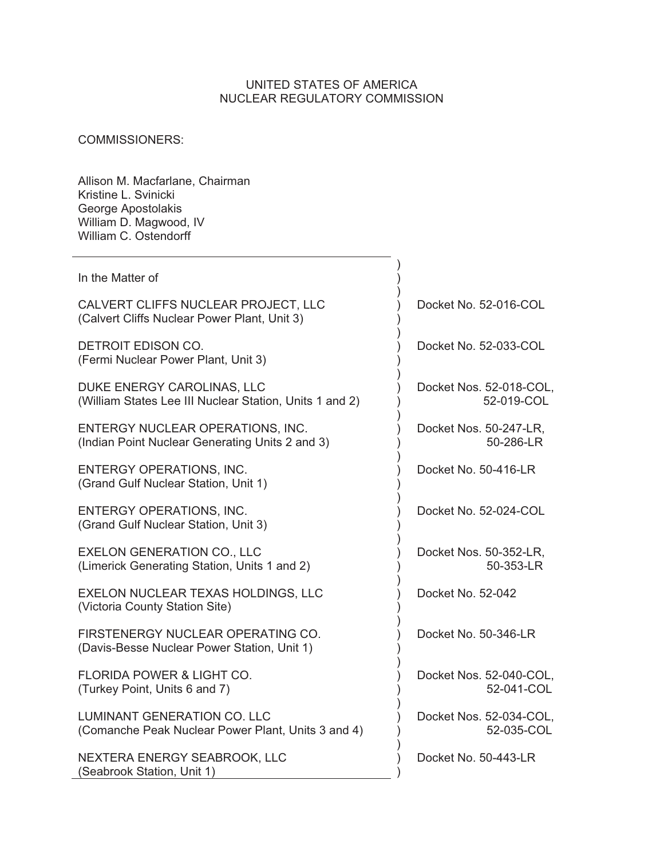#### UNITED STATES OF AMERICA NUCLEAR REGULATORY COMMISSION

## COMMISSIONERS:

Allison M. Macfarlane, Chairman Kristine L. Svinicki George Apostolakis William D. Magwood, IV William C. Ostendorff

| In the Matter of                                                                         |                                       |
|------------------------------------------------------------------------------------------|---------------------------------------|
| CALVERT CLIFFS NUCLEAR PROJECT, LLC<br>(Calvert Cliffs Nuclear Power Plant, Unit 3)      | Docket No. 52-016-COL                 |
| DETROIT EDISON CO.<br>(Fermi Nuclear Power Plant, Unit 3)                                | Docket No. 52-033-COL                 |
| DUKE ENERGY CAROLINAS, LLC<br>(William States Lee III Nuclear Station, Units 1 and 2)    | Docket Nos. 52-018-COL,<br>52-019-COL |
| ENTERGY NUCLEAR OPERATIONS, INC.<br>(Indian Point Nuclear Generating Units 2 and 3)      | Docket Nos. 50-247-LR,<br>50-286-LR   |
| ENTERGY OPERATIONS, INC.<br>(Grand Gulf Nuclear Station, Unit 1)                         | Docket No. 50-416-LR                  |
| <b>ENTERGY OPERATIONS, INC.</b><br>(Grand Gulf Nuclear Station, Unit 3)                  | Docket No. 52-024-COL                 |
| <b>EXELON GENERATION CO., LLC</b><br>(Limerick Generating Station, Units 1 and 2)        | Docket Nos. 50-352-LR,<br>50-353-LR   |
| EXELON NUCLEAR TEXAS HOLDINGS, LLC<br>(Victoria County Station Site)                     | Docket No. 52-042                     |
| FIRSTENERGY NUCLEAR OPERATING CO.<br>(Davis-Besse Nuclear Power Station, Unit 1)         | Docket No. 50-346-LR                  |
| <b>FLORIDA POWER &amp; LIGHT CO.</b><br>(Turkey Point, Units 6 and 7)                    | Docket Nos. 52-040-COL,<br>52-041-COL |
| <b>LUMINANT GENERATION CO. LLC</b><br>(Comanche Peak Nuclear Power Plant, Units 3 and 4) | Docket Nos. 52-034-COL,<br>52-035-COL |
| NEXTERA ENERGY SEABROOK, LLC<br>(Seabrook Station, Unit 1)                               | Docket No. 50-443-LR                  |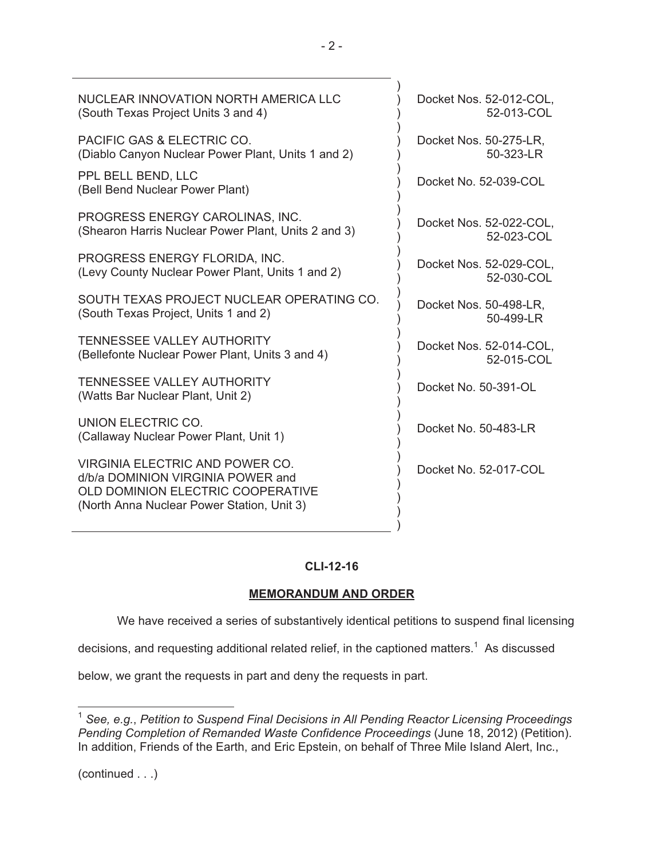| Docket Nos. 52-012-COL,<br>52-013-COL |
|---------------------------------------|
| Docket Nos. 50-275-LR,<br>50-323-LR   |
| Docket No. 52-039-COL                 |
| Docket Nos. 52-022-COL,<br>52-023-COL |
| Docket Nos. 52-029-COL,<br>52-030-COL |
| Docket Nos. 50-498-LR,<br>50-499-LR   |
| Docket Nos. 52-014-COL,<br>52-015-COL |
| Docket No. 50-391-OL                  |
| Docket No. 50-483-LR                  |
| Docket No. 52-017-COL                 |
|                                       |

## **CLI-12-16**

## **MEMORANDUM AND ORDER**

We have received a series of substantively identical petitions to suspend final licensing

)

decisions, and requesting additional related relief, in the captioned matters.<sup>1</sup> As discussed

below, we grant the requests in part and deny the requests in part.

(continued . . .)

 $\overline{a}$ 

<sup>1</sup> *See, e.g.*, *Petition to Suspend Final Decisions in All Pending Reactor Licensing Proceedings Pending Completion of Remanded Waste Confidence Proceedings* (June 18, 2012) (Petition). In addition, Friends of the Earth, and Eric Epstein, on behalf of Three Mile Island Alert, Inc.,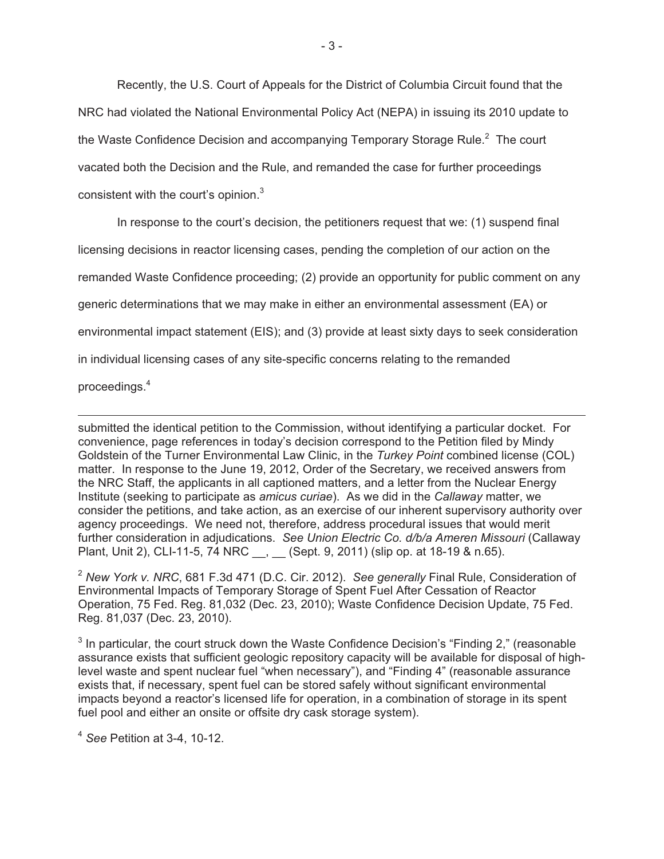Recently, the U.S. Court of Appeals for the District of Columbia Circuit found that the NRC had violated the National Environmental Policy Act (NEPA) in issuing its 2010 update to the Waste Confidence Decision and accompanying Temporary Storage Rule. $^2$  The court vacated both the Decision and the Rule, and remanded the case for further proceedings consistent with the court's opinion.<sup>3</sup>

In response to the court's decision, the petitioners request that we: (1) suspend final licensing decisions in reactor licensing cases, pending the completion of our action on the remanded Waste Confidence proceeding; (2) provide an opportunity for public comment on any generic determinations that we may make in either an environmental assessment (EA) or environmental impact statement (EIS); and (3) provide at least sixty days to seek consideration in individual licensing cases of any site-specific concerns relating to the remanded

proceedings.<sup>4</sup>

 $\overline{a}$ submitted the identical petition to the Commission, without identifying a particular docket. For convenience, page references in today's decision correspond to the Petition filed by Mindy Goldstein of the Turner Environmental Law Clinic, in the *Turkey Point* combined license (COL) matter. In response to the June 19, 2012, Order of the Secretary, we received answers from the NRC Staff, the applicants in all captioned matters, and a letter from the Nuclear Energy Institute (seeking to participate as *amicus curiae*). As we did in the *Callaway* matter, we consider the petitions, and take action, as an exercise of our inherent supervisory authority over agency proceedings. We need not, therefore, address procedural issues that would merit further consideration in adjudications. *See Union Electric Co. d/b/a Ameren Missouri* (Callaway Plant, Unit 2), CLI-11-5, 74 NRC , (Sept. 9, 2011) (slip op. at 18-19 & n.65).

<sup>2</sup> *New York v. NRC*, 681 F.3d 471 (D.C. Cir. 2012). *See generally* Final Rule, Consideration of Environmental Impacts of Temporary Storage of Spent Fuel After Cessation of Reactor Operation, 75 Fed. Reg. 81,032 (Dec. 23, 2010); Waste Confidence Decision Update, 75 Fed. Reg. 81,037 (Dec. 23, 2010).

 $3$  In particular, the court struck down the Waste Confidence Decision's "Finding 2," (reasonable assurance exists that sufficient geologic repository capacity will be available for disposal of highlevel waste and spent nuclear fuel "when necessary"), and "Finding 4" (reasonable assurance exists that, if necessary, spent fuel can be stored safely without significant environmental impacts beyond a reactor's licensed life for operation, in a combination of storage in its spent fuel pool and either an onsite or offsite dry cask storage system).

<sup>4</sup> *See* Petition at 3-4, 10-12.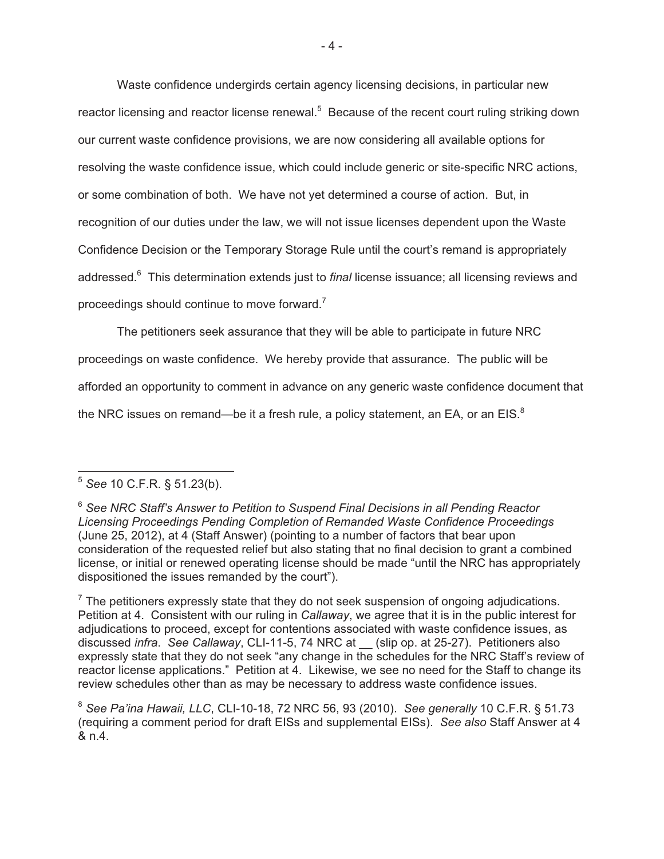Waste confidence undergirds certain agency licensing decisions, in particular new reactor licensing and reactor license renewal.<sup>5</sup> Because of the recent court ruling striking down our current waste confidence provisions, we are now considering all available options for resolving the waste confidence issue, which could include generic or site-specific NRC actions, or some combination of both. We have not yet determined a course of action. But, in recognition of our duties under the law, we will not issue licenses dependent upon the Waste Confidence Decision or the Temporary Storage Rule until the court's remand is appropriately addressed.6 This determination extends just to *final* license issuance; all licensing reviews and proceedings should continue to move forward.<sup>7</sup>

The petitioners seek assurance that they will be able to participate in future NRC proceedings on waste confidence. We hereby provide that assurance. The public will be afforded an opportunity to comment in advance on any generic waste confidence document that the NRC issues on remand—be it a fresh rule, a policy statement, an EA, or an EIS. $8$ 

 $\overline{a}$ <sup>5</sup> *See* 10 C.F.R. § 51.23(b).

<sup>6</sup> *See NRC Staff's Answer to Petition to Suspend Final Decisions in all Pending Reactor Licensing Proceedings Pending Completion of Remanded Waste Confidence Proceedings*  (June 25, 2012), at 4 (Staff Answer) (pointing to a number of factors that bear upon consideration of the requested relief but also stating that no final decision to grant a combined license, or initial or renewed operating license should be made "until the NRC has appropriately dispositioned the issues remanded by the court").

 $7$  The petitioners expressly state that they do not seek suspension of ongoing adjudications. Petition at 4. Consistent with our ruling in *Callaway*, we agree that it is in the public interest for adjudications to proceed, except for contentions associated with waste confidence issues, as discussed *infra*. *See Callaway*, CLI-11-5, 74 NRC at \_\_ (slip op. at 25-27). Petitioners also expressly state that they do not seek "any change in the schedules for the NRC Staff's review of reactor license applications." Petition at 4. Likewise, we see no need for the Staff to change its review schedules other than as may be necessary to address waste confidence issues.

<sup>8</sup> *See Pa'ina Hawaii, LLC*, CLI-10-18, 72 NRC 56, 93 (2010). *See generally* 10 C.F.R. § 51.73 (requiring a comment period for draft EISs and supplemental EISs). *See also* Staff Answer at 4 & n.4.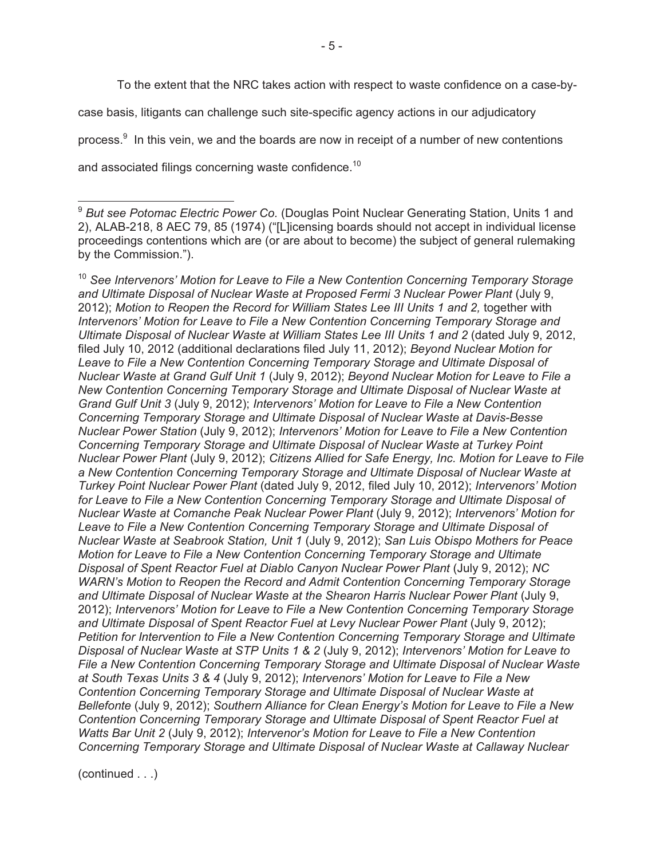To the extent that the NRC takes action with respect to waste confidence on a case-bycase basis, litigants can challenge such site-specific agency actions in our adjudicatory process.<sup>9</sup> In this vein, we and the boards are now in receipt of a number of new contentions

and associated filings concerning waste confidence.<sup>10</sup>

<sup>10</sup> See Intervenors' Motion for Leave to File a New Contention Concerning Temporary Storage *and Ultimate Disposal of Nuclear Waste at Proposed Fermi 3 Nuclear Power Plant* (July 9, 2012); *Motion to Reopen the Record for William States Lee III Units 1 and 2,* together with *Intervenors' Motion for Leave to File a New Contention Concerning Temporary Storage and Ultimate Disposal of Nuclear Waste at William States Lee III Units 1 and 2* (dated July 9, 2012, filed July 10, 2012 (additional declarations filed July 11, 2012); *Beyond Nuclear Motion for Leave to File a New Contention Concerning Temporary Storage and Ultimate Disposal of Nuclear Waste at Grand Gulf Unit 1* (July 9, 2012); *Beyond Nuclear Motion for Leave to File a New Contention Concerning Temporary Storage and Ultimate Disposal of Nuclear Waste at Grand Gulf Unit 3* (July 9, 2012); *Intervenors' Motion for Leave to File a New Contention Concerning Temporary Storage and Ultimate Disposal of Nuclear Waste at Davis-Besse Nuclear Power Station* (July 9, 2012); *Intervenors' Motion for Leave to File a New Contention Concerning Temporary Storage and Ultimate Disposal of Nuclear Waste at Turkey Point Nuclear Power Plant* (July 9, 2012); *Citizens Allied for Safe Energy, Inc. Motion for Leave to File a New Contention Concerning Temporary Storage and Ultimate Disposal of Nuclear Waste at Turkey Point Nuclear Power Plant* (dated July 9, 2012, filed July 10, 2012); *Intervenors' Motion for Leave to File a New Contention Concerning Temporary Storage and Ultimate Disposal of Nuclear Waste at Comanche Peak Nuclear Power Plant* (July 9, 2012); *Intervenors' Motion for Leave to File a New Contention Concerning Temporary Storage and Ultimate Disposal of Nuclear Waste at Seabrook Station, Unit 1* (July 9, 2012); *San Luis Obispo Mothers for Peace Motion for Leave to File a New Contention Concerning Temporary Storage and Ultimate Disposal of Spent Reactor Fuel at Diablo Canyon Nuclear Power Plant* (July 9, 2012); *NC WARN's Motion to Reopen the Record and Admit Contention Concerning Temporary Storage and Ultimate Disposal of Nuclear Waste at the Shearon Harris Nuclear Power Plant* (July 9, 2012); *Intervenors' Motion for Leave to File a New Contention Concerning Temporary Storage and Ultimate Disposal of Spent Reactor Fuel at Levy Nuclear Power Plant* (July 9, 2012); *Petition for Intervention to File a New Contention Concerning Temporary Storage and Ultimate Disposal of Nuclear Waste at STP Units 1 & 2* (July 9, 2012); *Intervenors' Motion for Leave to File a New Contention Concerning Temporary Storage and Ultimate Disposal of Nuclear Waste at South Texas Units 3 & 4* (July 9, 2012); *Intervenors' Motion for Leave to File a New Contention Concerning Temporary Storage and Ultimate Disposal of Nuclear Waste at Bellefonte* (July 9, 2012); *Southern Alliance for Clean Energy's Motion for Leave to File a New Contention Concerning Temporary Storage and Ultimate Disposal of Spent Reactor Fuel at Watts Bar Unit 2* (July 9, 2012); *Intervenor's Motion for Leave to File a New Contention Concerning Temporary Storage and Ultimate Disposal of Nuclear Waste at Callaway Nuclear* 

(continued . . .)

 $\overline{a}$ <sup>9</sup> But see Potomac Electric Power Co. (Douglas Point Nuclear Generating Station, Units 1 and 2), ALAB-218, 8 AEC 79, 85 (1974) ("[L]icensing boards should not accept in individual license proceedings contentions which are (or are about to become) the subject of general rulemaking by the Commission.").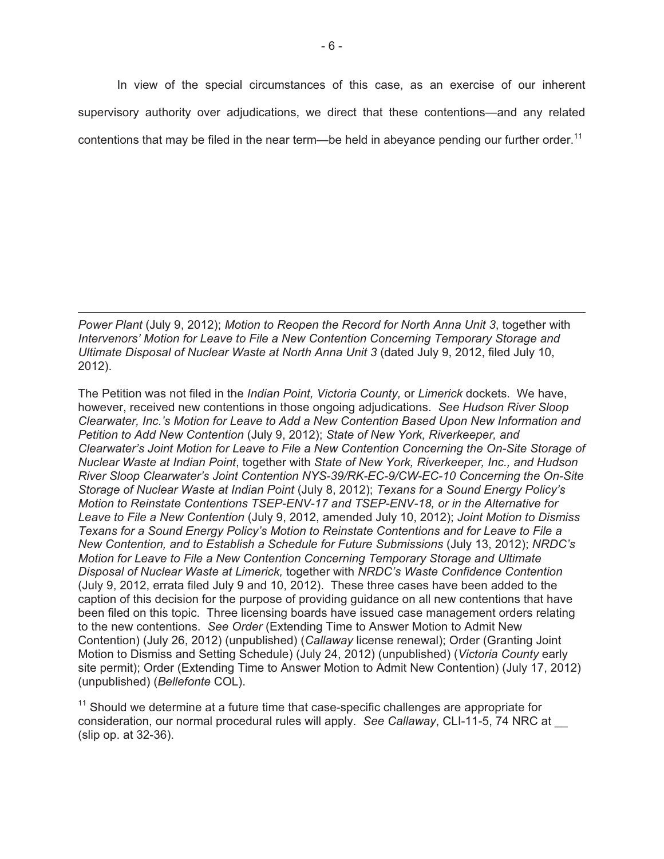In view of the special circumstances of this case, as an exercise of our inherent supervisory authority over adjudications, we direct that these contentions—and any related contentions that may be filed in the near term—be held in abeyance pending our further order.<sup>11</sup>

*Power Plant* (July 9, 2012); *Motion to Reopen the Record for North Anna Unit 3*, together with *Intervenors' Motion for Leave to File a New Contention Concerning Temporary Storage and Ultimate Disposal of Nuclear Waste at North Anna Unit 3* (dated July 9, 2012, filed July 10, 2012).

l

The Petition was not filed in the *Indian Point, Victoria County,* or *Limerick* dockets. We have, however, received new contentions in those ongoing adjudications. *See Hudson River Sloop Clearwater, Inc.'s Motion for Leave to Add a New Contention Based Upon New Information and Petition to Add New Contention* (July 9, 2012); *State of New York, Riverkeeper, and Clearwater's Joint Motion for Leave to File a New Contention Concerning the On-Site Storage of Nuclear Waste at Indian Point*, together with *State of New York, Riverkeeper, Inc., and Hudson River Sloop Clearwater's Joint Contention NYS-39/RK-EC-9/CW-EC-10 Concerning the On-Site Storage of Nuclear Waste at Indian Point* (July 8, 2012); *Texans for a Sound Energy Policy's Motion to Reinstate Contentions TSEP-ENV-17 and TSEP-ENV-18, or in the Alternative for Leave to File a New Contention* (July 9, 2012, amended July 10, 2012); *Joint Motion to Dismiss Texans for a Sound Energy Policy's Motion to Reinstate Contentions and for Leave to File a New Contention, and to Establish a Schedule for Future Submissions* (July 13, 2012); *NRDC's Motion for Leave to File a New Contention Concerning Temporary Storage and Ultimate Disposal of Nuclear Waste at Limerick,* together with *NRDC's Waste Confidence Contention* (July 9, 2012, errata filed July 9 and 10, 2012). These three cases have been added to the caption of this decision for the purpose of providing guidance on all new contentions that have been filed on this topic. Three licensing boards have issued case management orders relating to the new contentions. *See Order* (Extending Time to Answer Motion to Admit New Contention) (July 26, 2012) (unpublished) (*Callaway* license renewal); Order (Granting Joint Motion to Dismiss and Setting Schedule) (July 24, 2012) (unpublished) (*Victoria County* early site permit); Order (Extending Time to Answer Motion to Admit New Contention) (July 17, 2012) (unpublished) (*Bellefonte* COL).

 $11$  Should we determine at a future time that case-specific challenges are appropriate for consideration, our normal procedural rules will apply. *See Callaway*, CLI-11-5, 74 NRC at \_\_ (slip op. at 32-36).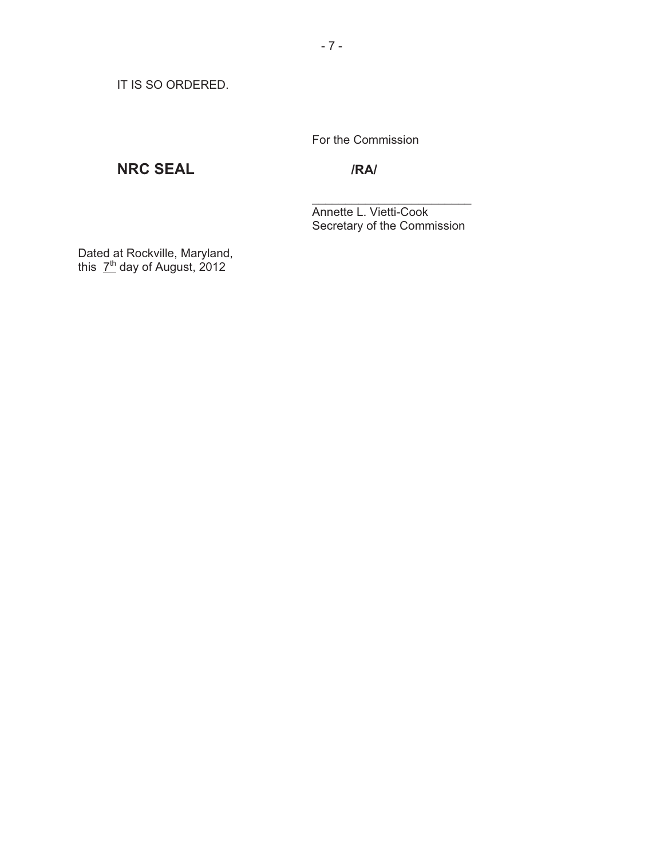IT IS SO ORDERED.

For the Commission

# **NRC SEAL /RA/**

 Annette L. Vietti-Cook Secretary of the Commission

Dated at Rockville, Maryland, this 7<sup>th</sup> day of August, 2012

 $\frac{1}{\sqrt{2}}$  , which is a set of  $\frac{1}{\sqrt{2}}$  , which is a set of  $\frac{1}{\sqrt{2}}$  , which is a set of  $\frac{1}{\sqrt{2}}$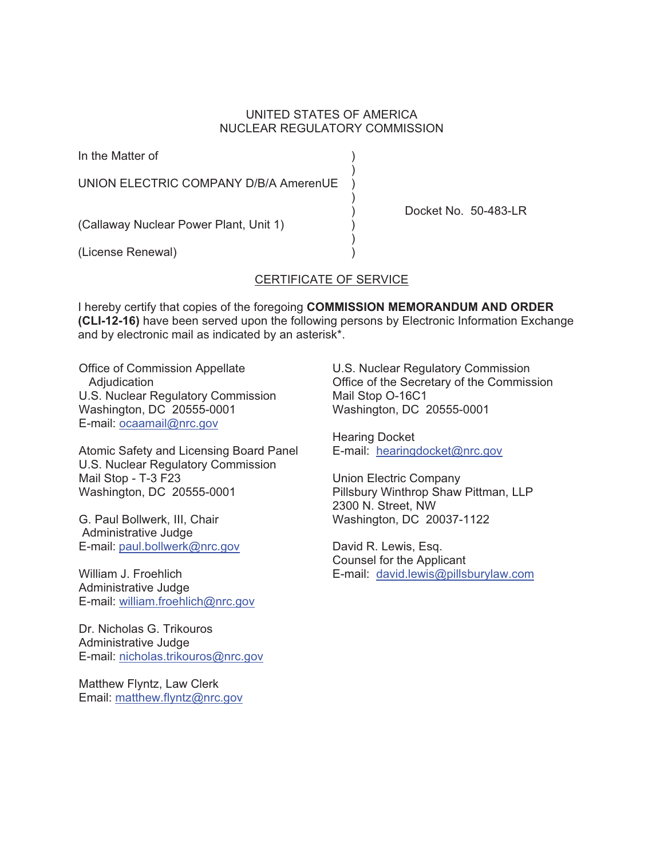#### UNITED STATES OF AMERICA NUCLEAR REGULATORY COMMISSION

In the Matter of )

 $)$ UNION ELECTRIC COMPANY D/B/A AmerenUE

 $)$ 

(Callaway Nuclear Power Plant, Unit 1) )

 $)$ (License Renewal) )

#### CERTIFICATE OF SERVICE

I hereby certify that copies of the foregoing **COMMISSION MEMORANDUM AND ORDER (CLI-12-16)** have been served upon the following persons by Electronic Information Exchange and by electronic mail as indicated by an asterisk\*.

Office of Commission Appellate Adjudication U.S. Nuclear Regulatory Commission Washington, DC 20555-0001 E-mail: ocaamail@nrc.gov

Atomic Safety and Licensing Board Panel U.S. Nuclear Regulatory Commission Mail Stop - T-3 F23 Washington, DC 20555-0001

G. Paul Bollwerk, III, Chair Administrative Judge E-mail: paul.bollwerk@nrc.gov

William J. Froehlich Administrative Judge E-mail: william.froehlich@nrc.gov

Dr. Nicholas G. Trikouros Administrative Judge E-mail: nicholas.trikouros@nrc.gov

Matthew Flyntz, Law Clerk Email: matthew.flyntz@nrc.gov U.S. Nuclear Regulatory Commission Office of the Secretary of the Commission Mail Stop O-16C1 Washington, DC 20555-0001

Docket No. 50-483-LR

Hearing Docket E-mail: hearingdocket@nrc.gov

Union Electric Company Pillsbury Winthrop Shaw Pittman, LLP 2300 N. Street, NW Washington, DC 20037-1122

David R. Lewis, Esq. Counsel for the Applicant E-mail: david.lewis@pillsburylaw.com